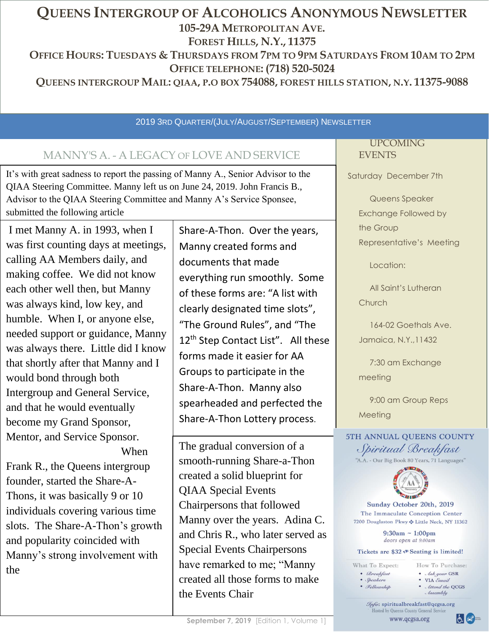# **QUEENS INTERGROUP OF ALCOHOLICS ANONYMOUS NEWSLETTER 105-29A METROPOLITAN AVE. FOREST HILLS, N.Y., 11375** OFFICE HOURS: TUESDAYS & THURSDAYS FROM 7PM TO 9PM SATURDAYS FROM 10AM TO 2PM **OFFICE TELEPHONE: (718) 520-5024 QUEENS INTERGROUP MAIL: QIAA, P.O BOX 754088, FOREST HILLS STATION, N.Y. 11375-9088**

#### 2019 3RD QUARTER/(JULY/AUGUST/SEPTEMBER) NEWSLETTER

# MANNY'S A. - A LEGACY OF LOVE AND SERVICE

It's with great sadness to report the passing of Manny A., Senior Advisor to the QIAA Steering Committee. Manny left us on June 24, 2019. John Francis B., Advisor to the QIAA Steering Committee and Manny A's Service Sponsee, submitted the following article

I met Manny A. in 1993, when I was first counting days at meetings, calling AA Members daily, and making coffee. We did not know each other well then, but Manny was always kind, low key, and humble. When I, or anyone else, needed support or guidance, Manny was always there. Little did I know that shortly after that Manny and I would bond through both Intergroup and General Service, and that he would eventually become my Grand Sponsor, Mentor, and Service Sponsor. When

Frank R., the Queens intergroup founder, started the Share-A-Thons, it was basically 9 or 10 individuals covering various time slots. The Share-A-Thon's growth and popularity coincided with Manny's strong involvement with the

Share-A-Thon. Over the years, Manny created forms and documents that made everything run smoothly. Some of these forms are: "A list with clearly designated time slots", "The Ground Rules", and "The 12<sup>th</sup> Step Contact List". All these forms made it easier for AA Groups to participate in the Share-A-Thon. Manny also spearheaded and perfected the Share-A-Thon Lottery process.

The gradual conversion of a smooth-running Share-a-Thon created a solid blueprint for QIAA Special Events Chairpersons that followed Manny over the years. Adina C. and Chris R., who later served as Special Events Chairpersons have remarked to me; "Manny created all those forms to make the Events Chair

#### UPCOMING EVENTS

Saturday December 7th

Queens Speaker Exchange Followed by the Group Representative's Meeting

Location:

All Saint's Lutheran **Church** 

164-02 Goethals Ave. Jamaica, N.Y.,11432

7:30 am Exchange meeting

9:00 am Group Reps Meeting

5TH ANNUAL OUEENS COUNTY Spiritual Breakfast "A.A. - Our Big Book 80 Years, 71 Languages"



Sunday October 20th, 2019 The Immaculate Conception Center 7200 Douglaston Pkwy  $\cdot$  Little Neck, NY 11362

> $9:30am - 1:00pm$ doors open at 9:00am

Tickets are \$32 < Seating is limited!

| What To Expect:    | How To Purchase:                        |
|--------------------|-----------------------------------------|
| • Breakfast        | $\bullet$ Ask your GSR                  |
| $\bullet$ Speakers | • VIA <i>Email</i>                      |
| • Fellowship       | • <i>Attend the QCGS</i><br>$I$ ssemblu |

Tnfo: spiritualbreakfast@qcgsa.org Hosted by Queens County General Service www.qcgsa.org

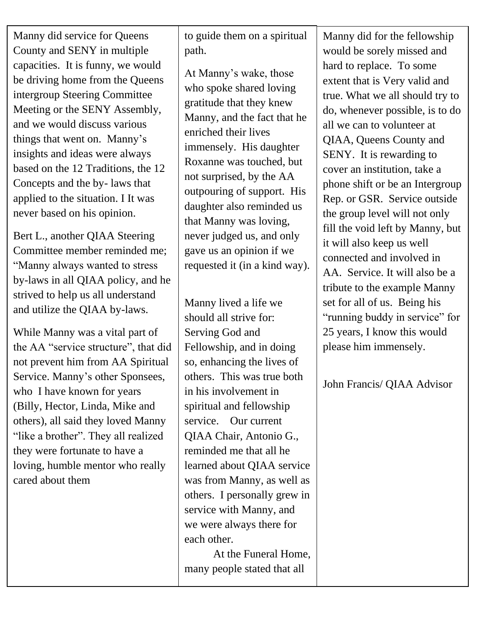Manny did service for Queens County and SENY in multiple capacities. It is funny, we would be driving home from the Queens intergroup Steering Committee Meeting or the SENY Assembly, and we would discuss various things that went on. Manny's insights and ideas were always based on the 12 Traditions, the 12 Concepts and the by- laws that applied to the situation. I It was never based on his opinion.

Bert L., another QIAA Steering Committee member reminded me; "Manny always wanted to stress by-laws in all QIAA policy, and he strived to help us all understand and utilize the QIAA by-laws.

While Manny was a vital part of the AA "service structure", that did not prevent him from AA Spiritual Service. Manny's other Sponsees, who I have known for years (Billy, Hector, Linda, Mike and others), all said they loved Manny "like a brother". They all realized they were fortunate to have a loving, humble mentor who really cared about them

 $\mathcal{C}$  |  $\mathcal{C}$  |  $\mathcal{C}$  |  $\mathcal{C}$  |  $\mathcal{C}$  |  $\mathcal{C}$  |  $\mathcal{C}$  |  $\mathcal{C}$  |  $\mathcal{C}$  |  $\mathcal{C}$  |  $\mathcal{C}$  |  $\mathcal{C}$  |  $\mathcal{C}$  |  $\mathcal{C}$  |  $\mathcal{C}$  |  $\mathcal{C}$  |  $\mathcal{C}$  |  $\mathcal{C}$  |  $\mathcal{C}$  |  $\mathcal{C}$  | to guide them on a spiritual path.

> At Manny's wake, those who spoke shared loving gratitude that they knew Manny, and the fact that he enriched their lives immensely. His daughter Roxanne was touched, but not surprised, by the AA outpouring of support. His daughter also reminded us that Manny was loving, never judged us, and only gave us an opinion if we requested it (in a kind way).

> Manny lived a life we should all strive for: Serving God and Fellowship, and in doing so, enhancing the lives of others. This was true both in his involvement in spiritual and fellowship service. Our current QIAA Chair, Antonio G., reminded me that all he learned about QIAA service was from Manny, as well as others. I personally grew in service with Manny, and we were always there for each other.

> At the Funeral Home, many people stated that all

Manny did for the fellowship would be sorely missed and hard to replace. To some extent that is Very valid and true. What we all should try to do, whenever possible, is to do all we can to volunteer at QIAA, Queens County and SENY. It is rewarding to cover an institution, take a phone shift or be an Intergroup Rep. or GSR. Service outside the group level will not only fill the void left by Manny, but it will also keep us well connected and involved in AA. Service. It will also be a tribute to the example Manny set for all of us. Being his "running buddy in service" for 25 years, I know this would please him immensely.

John Francis/ QIAA Advisor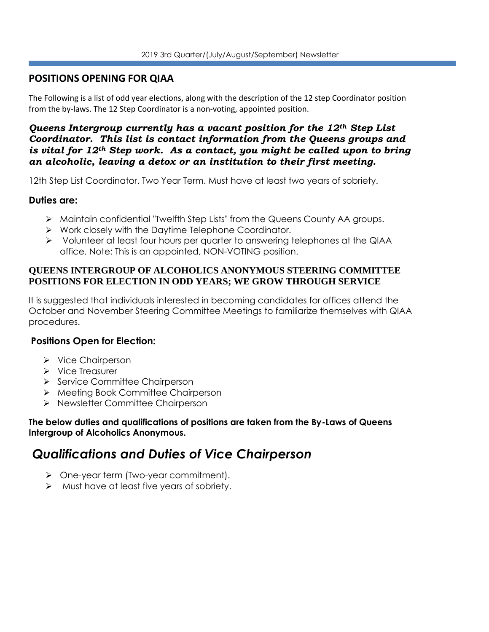## **POSITIONS OPENING FOR QIAA**

The Following is a list of odd year elections, along with the description of the 12 step Coordinator position from the by-laws. The 12 Step Coordinator is a non-voting, appointed position.

#### *Queens Intergroup currently has a vacant position for the 12th Step List Coordinator. This list is contact information from the Queens groups and is vital for 12th Step work. As a contact, you might be called upon to bring an alcoholic, leaving a detox or an institution to their first meeting.*

12th Step List Coordinator. Two Year Term. Must have at least two years of sobriety.

#### **Duties are:**

- ➢ Maintain confidential "Twelfth Step Lists" from the Queens County AA groups.
- ➢ Work closely with the Daytime Telephone Coordinator.
- ➢ Volunteer at least four hours per quarter to answering telephones at the QIAA office. Note: This is an appointed, NON-VOTING position.

#### **QUEENS INTERGROUP OF ALCOHOLICS ANONYMOUS STEERING COMMITTEE POSITIONS FOR ELECTION IN ODD YEARS; WE GROW THROUGH SERVICE**

It is suggested that individuals interested in becoming candidates for offices attend the October and November Steering Committee Meetings to familiarize themselves with QIAA procedures.

## **Positions Open for Election:**

- ➢ Vice Chairperson
- ➢ Vice Treasurer
- ➢ Service Committee Chairperson
- ➢ Meeting Book Committee Chairperson
- ➢ Newsletter Committee Chairperson

#### **The below duties and qualifications of positions are taken from the By-Laws of Queens Intergroup of Alcoholics Anonymous.**

# *Qualifications and Duties of Vice Chairperson*

- ➢ One-year term (Two-year commitment).
- ➢ Must have at least five years of sobriety.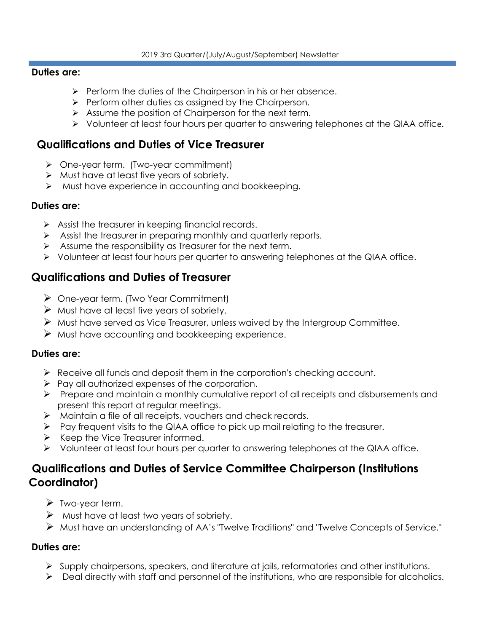#### **Duties are:**

- ➢ Perform the duties of the Chairperson in his or her absence.
- ➢ Perform other duties as assigned by the Chairperson.
- ➢ Assume the position of Chairperson for the next term.
- ➢ Volunteer at least four hours per quarter to answering telephones at the QIAA office.

## **Qualifications and Duties of Vice Treasurer**

- ➢ One-year term. (Two-year commitment)
- ➢ Must have at least five years of sobriety.
- ➢ Must have experience in accounting and bookkeeping.

#### **Duties are:**

- $\triangleright$  Assist the treasurer in keeping financial records.
- ➢ Assist the treasurer in preparing monthly and quarterly reports.
- ➢ Assume the responsibility as Treasurer for the next term.
- ➢ Volunteer at least four hours per quarter to answering telephones at the QIAA office.

## **Qualifications and Duties of Treasurer**

- ➢ One-year term. (Two Year Commitment)
- $\triangleright$  Must have at least five years of sobriety.
- $\triangleright$  Must have served as Vice Treasurer, unless waived by the Intergroup Committee.
- ➢ Must have accounting and bookkeeping experience.

#### **Duties are:**

- ➢ Receive all funds and deposit them in the corporation's checking account.
- ➢ Pay all authorized expenses of the corporation.
- ➢ Prepare and maintain a monthly cumulative report of all receipts and disbursements and present this report at regular meetings.
- ➢ Maintain a file of all receipts, vouchers and check records.
- ➢ Pay frequent visits to the QIAA office to pick up mail relating to the treasurer.
- ➢ Keep the Vice Treasurer informed.
- ➢ Volunteer at least four hours per quarter to answering telephones at the QIAA office.

## **Qualifications and Duties of Service Committee Chairperson (Institutions Coordinator)**

- ➢ Two-year term.
- $\triangleright$  Must have at least two years of sobriety.
- ➢ Must have an understanding of AA's "Twelve Traditions" and "Twelve Concepts of Service."

#### **Duties are:**

- ➢ Supply chairpersons, speakers, and literature at jails, reformatories and other institutions.
- ➢ Deal directly with staff and personnel of the institutions, who are responsible for alcoholics.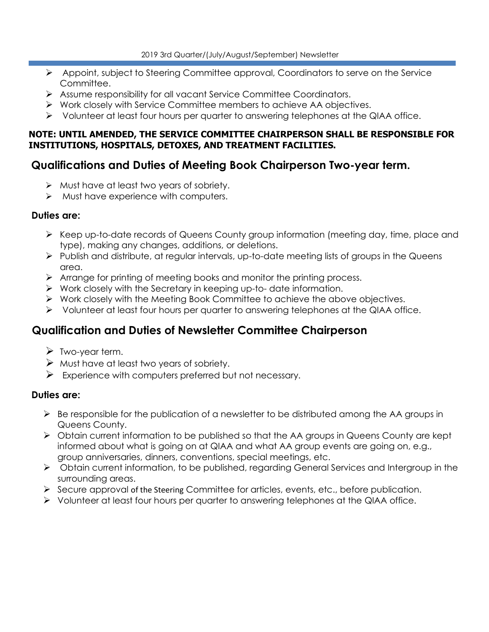- ➢ Appoint, subject to Steering Committee approval, Coordinators to serve on the Service Committee.
- ➢ Assume responsibility for all vacant Service Committee Coordinators.
- ➢ Work closely with Service Committee members to achieve AA objectives.
- ➢ Volunteer at least four hours per quarter to answering telephones at the QIAA office.

#### **NOTE: UNTIL AMENDED, THE SERVICE COMMITTEE CHAIRPERSON SHALL BE RESPONSIBLE FOR INSTITUTIONS, HOSPITALS, DETOXES, AND TREATMENT FACILITIES.**

## **Qualifications and Duties of Meeting Book Chairperson Two-year term.**

- ➢ Must have at least two years of sobriety.
- ➢ Must have experience with computers.

#### **Duties are:**

- ➢ Keep up-to-date records of Queens County group information (meeting day, time, place and type), making any changes, additions, or deletions.
- $\triangleright$  Publish and distribute, at regular intervals, up-to-date meeting lists of groups in the Queens area.
- ➢ Arrange for printing of meeting books and monitor the printing process.
- ➢ Work closely with the Secretary in keeping up-to- date information.
- ➢ Work closely with the Meeting Book Committee to achieve the above objectives.
- ➢ Volunteer at least four hours per quarter to answering telephones at the QIAA office.

## **Qualification and Duties of Newsletter Committee Chairperson**

- ➢ Two-year term.
- $\triangleright$  Must have at least two years of sobriety.
- $\triangleright$  Experience with computers preferred but not necessary.

#### **Duties are:**

- $\triangleright$  Be responsible for the publication of a newsletter to be distributed among the AA groups in Queens County.
- ➢ Obtain current information to be published so that the AA groups in Queens County are kept informed about what is going on at QIAA and what AA group events are going on, e.g., group anniversaries, dinners, conventions, special meetings, etc.
- ➢ Obtain current information, to be published, regarding General Services and Intergroup in the surrounding areas.
- $\triangleright$  Secure approval of the Steering Committee for articles, events, etc., before publication.
- ➢ Volunteer at least four hours per quarter to answering telephones at the QIAA office.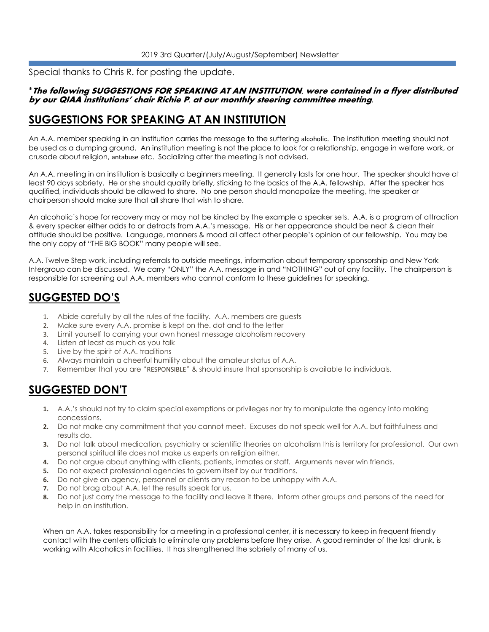Special thanks to Chris R. for posting the update.

#### \***The following SUGGESTIONS FOR SPEAKING AT AN INSTITUTION, were contained in a flyer distributed by our QIAA institutions' chair Richie P. at our monthly steering committee meeting.**

## **SUGGESTIONS FOR SPEAKING AT AN INSTITUTION**

An A.A. member speaking in an institution carries the message to the suffering alcoholic. The institution meeting should not be used as a dumping ground. An institution meeting is not the place to look for a relationship, engage in welfare work, or crusade about religion, antabuse etc. Socializing after the meeting is not advised.

An A.A. meeting in an institution is basically a beginners meeting. It generally lasts for one hour. The speaker should have at least 90 days sobriety. He or she should qualify briefly, sticking to the basics of the A.A. fellowship. After the speaker has qualified, individuals should be allowed to share. No one person should monopolize the meeting, the speaker or chairperson should make sure that all share that wish to share.

An alcoholic's hope for recovery may or may not be kindled by the example a speaker sets. A.A. is a program of attraction & every speaker either adds to or detracts from A.A.'s message. His or her appearance should be neat & clean their attitude should be positive. Language, manners & mood all affect other people's opinion of our fellowship. You may be the only copy of "THE BIG BOOK" many people will see.

A.A. Twelve Step work, including referrals to outside meetings, information about temporary sponsorship and New York Intergroup can be discussed. We carry "ONLY" the A.A. message in and "NOTHING" out of any facility. The chairperson is responsible for screening out A.A. members who cannot conform to these guidelines for speaking.

## **SUGGESTED DO'S**

- 1. Abide carefully by all the rules of the facility. A.A. members are guests
- 2. Make sure every A.A. promise is kept on the. dot and to the letter
- 3. Limit yourself to carrying your own honest message alcoholism recovery
- 4. Listen at least as much as you talk
- 5. Live by the spirit of A.A. traditions
- 6. Always maintain a cheerful humility about the amateur status of A.A.
- 7. Remember that you are "RESPONSIBLE" & should insure that sponsorship is available to individuals.

## **SUGGESTED DON'T**

- **1.** A.A.'s should not try to claim special exemptions or privileges nor try to manipulate the agency into making concessions.
- **2.** Do not make any commitment that you cannot meet. Excuses do not speak well for A.A. but faithfulness and results do.
- **3.** Do not talk about medication, psychiatry or scientific theories on alcoholism this is territory for professional. Our own personal spiritual life does not make us experts on religion either.
- **4.** Do not argue about anything with clients, patients, inmates or staff. Arguments never win friends.
- **5.** Do not expect professional agencies to govern itself by our traditions.
- **6.** Do not give an agency, personnel or clients any reason to be unhappy with A.A.
- **7.** Do not brag about A.A. let the results speak for us.
- **8.** Do not just carry the message to the facility and leave it there. Inform other groups and persons of the need for help in an institution.

When an A.A. takes responsibility for a meeting in a professional center, it is necessary to keep in frequent friendly contact with the centers officials to eliminate any problems before they arise. A good reminder of the last drunk, is working with Alcoholics in facilities. It has strengthened the sobriety of many of us.